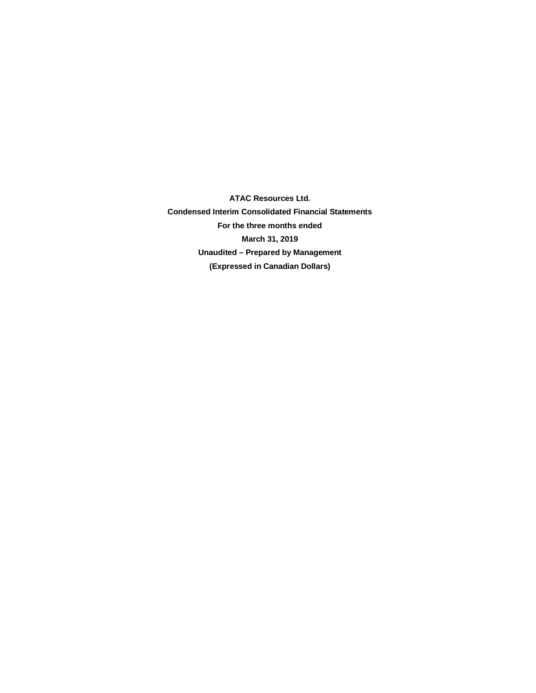**ATAC Resources Ltd. Condensed Interim Consolidated Financial Statements For the three months ended March 31, 2019 Unaudited – Prepared by Management (Expressed in Canadian Dollars)**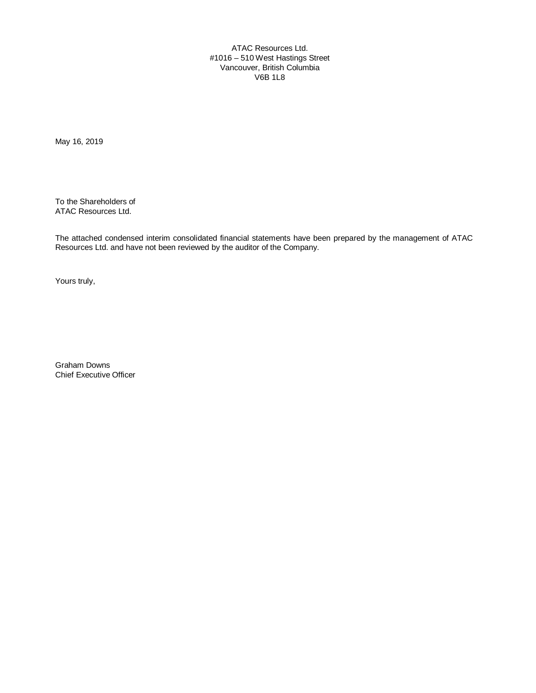ATAC Resources Ltd. #1016 – 510 West Hastings Street Vancouver, British Columbia V6B 1L8

May 16, 2019

To the Shareholders of ATAC Resources Ltd.

The attached condensed interim consolidated financial statements have been prepared by the management of ATAC Resources Ltd. and have not been reviewed by the auditor of the Company.

Yours truly,

Graham Downs Chief Executive Officer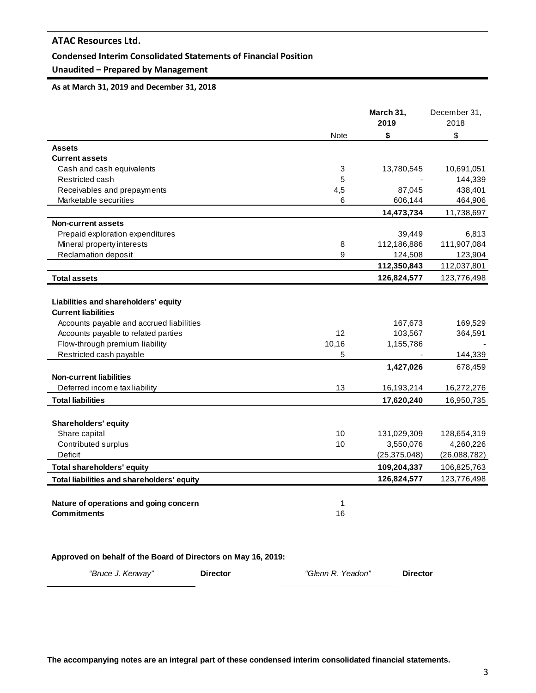### **Condensed Interim Consolidated Statements of Financial Position**

# **Unaudited – Prepared by Management**

### **As at March 31, 2019 and December 31, 2018**

|                                            |             | March 31,<br>2019 | December 31,<br>2018 |
|--------------------------------------------|-------------|-------------------|----------------------|
|                                            | <b>Note</b> | \$                | \$                   |
| <b>Assets</b>                              |             |                   |                      |
| <b>Current assets</b>                      |             |                   |                      |
| Cash and cash equivalents                  | 3           | 13,780,545        | 10,691,051           |
| Restricted cash                            | 5           |                   | 144,339              |
| Receivables and prepayments                | 4,5         | 87,045            | 438,401              |
| Marketable securities                      | 6           | 606,144           | 464,906              |
|                                            |             | 14,473,734        | 11,738,697           |
| <b>Non-current assets</b>                  |             |                   |                      |
| Prepaid exploration expenditures           |             | 39,449            | 6,813                |
| Mineral property interests                 | 8           | 112,186,886       | 111,907,084          |
| <b>Reclamation deposit</b>                 | 9           | 124,508           | 123,904              |
|                                            |             | 112,350,843       | 112,037,801          |
| <b>Total assets</b>                        |             | 126,824,577       | 123,776,498          |
|                                            |             |                   |                      |
| Liabilities and shareholders' equity       |             |                   |                      |
| <b>Current liabilities</b>                 |             |                   |                      |
| Accounts payable and accrued liabilities   |             | 167,673           | 169,529              |
| Accounts payable to related parties        | 12          | 103,567           | 364,591              |
| Flow-through premium liability             | 10,16       | 1,155,786         |                      |
| Restricted cash payable                    | 5           |                   | 144,339              |
|                                            |             | 1,427,026         | 678,459              |
| <b>Non-current liabilities</b>             |             |                   |                      |
| Deferred income tax liability              | 13          | 16,193,214        | 16,272,276           |
| <b>Total liabilities</b>                   |             | 17,620,240        | 16,950,735           |
|                                            |             |                   |                      |
| Shareholders' equity                       |             |                   |                      |
| Share capital                              | 10          | 131,029,309       | 128,654,319          |
| Contributed surplus                        | 10          | 3,550,076         | 4,260,226            |
| Deficit                                    |             | (25, 375, 048)    | (26,088,782)         |
| <b>Total shareholders' equity</b>          |             | 109,204,337       | 106,825,763          |
| Total liabilities and shareholders' equity |             | 126,824,577       | 123,776,498          |
|                                            |             |                   |                      |
| Nature of operations and going concern     | 1           |                   |                      |
| <b>Commitments</b>                         | 16          |                   |                      |
|                                            |             |                   |                      |
|                                            |             |                   |                      |

**Approved on behalf of the Board of Directors on May 16, 2019:**

*"Bruce J. Kenway"* **Director** *"Glenn R. Yeadon"* **Director**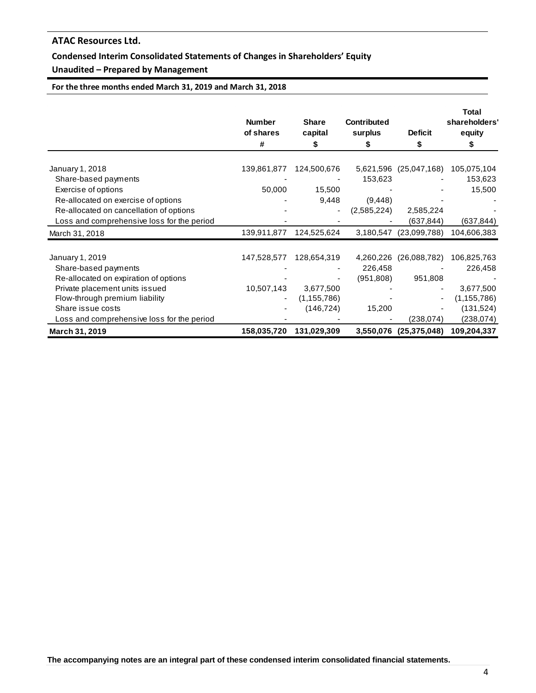# **Condensed Interim Consolidated Statements of Changes in Shareholders' Equity**

# **Unaudited – Prepared by Management**

**For the three months ended March 31, 2019 and March 31, 2018**

|                                            | <b>Number</b><br>of shares<br># | <b>Share</b><br>capital<br>\$ | <b>Contributed</b><br>surplus | <b>Deficit</b><br>\$   | <b>Total</b><br>shareholders'<br>equity<br>S |
|--------------------------------------------|---------------------------------|-------------------------------|-------------------------------|------------------------|----------------------------------------------|
|                                            |                                 |                               |                               |                        |                                              |
| January 1, 2018                            | 139,861,877                     | 124,500,676                   |                               | 5,621,596 (25,047,168) | 105,075,104                                  |
| Share-based payments                       |                                 |                               | 153,623                       |                        | 153,623                                      |
| Exercise of options                        | 50,000                          | 15,500                        |                               |                        | 15,500                                       |
| Re-allocated on exercise of options        |                                 | 9,448                         | (9, 448)                      |                        |                                              |
| Re-allocated on cancellation of options    |                                 | $\overline{\phantom{0}}$      | (2,585,224)                   | 2,585,224              |                                              |
| Loss and comprehensive loss for the period |                                 |                               |                               | (637, 844)             | (637, 844)                                   |
| March 31, 2018                             | 139,911,877                     | 124,525,624                   |                               | 3,180,547 (23,099,788) | 104,606,383                                  |
| January 1, 2019                            | 147,528,577                     | 128,654,319                   | 4,260,226                     | (26,088,782)           | 106,825,763                                  |
| Share-based payments                       |                                 |                               | 226,458                       |                        | 226,458                                      |
| Re-allocated on expiration of options      |                                 |                               | (951,808)                     | 951,808                |                                              |
| Private placement units issued             | 10,507,143                      | 3,677,500                     |                               |                        | 3,677,500                                    |
| Flow-through premium liability             |                                 | (1, 155, 786)                 |                               |                        | (1, 155, 786)                                |
| Share issue costs                          |                                 | (146, 724)                    | 15,200                        |                        | (131, 524)                                   |
| Loss and comprehensive loss for the period |                                 |                               |                               | (238, 074)             | (238, 074)                                   |
|                                            | 158,035,720                     | 131,029,309                   |                               | 3,550,076 (25,375,048) | 109,204,337                                  |
| March 31, 2019                             |                                 |                               |                               |                        |                                              |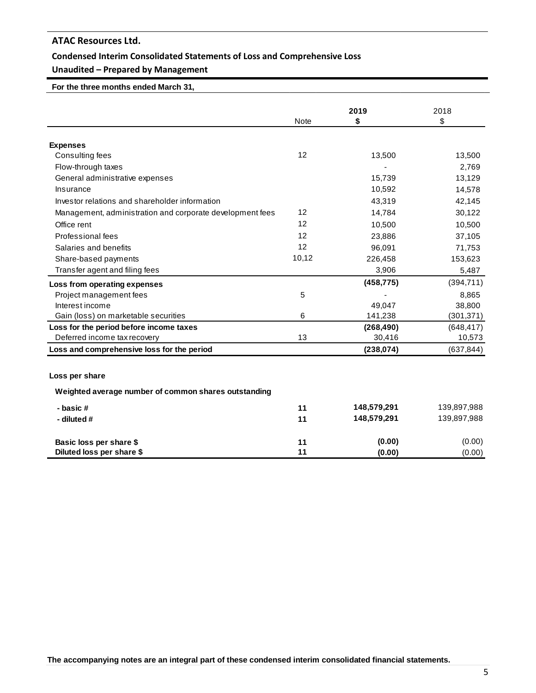# **Condensed Interim Consolidated Statements of Loss and Comprehensive Loss**

# **Unaudited – Prepared by Management**

 **For the three months ended March 31,** 

|                                                           |             | 2019        | 2018        |  |
|-----------------------------------------------------------|-------------|-------------|-------------|--|
|                                                           | <b>Note</b> | \$          | \$          |  |
|                                                           |             |             |             |  |
| <b>Expenses</b>                                           |             |             |             |  |
| Consulting fees                                           | 12          | 13,500      | 13,500      |  |
| Flow-through taxes                                        |             |             | 2,769       |  |
| General administrative expenses                           |             | 15,739      | 13,129      |  |
| Insurance                                                 |             | 10,592      | 14,578      |  |
| Investor relations and shareholder information            |             | 43,319      | 42,145      |  |
| Management, administration and corporate development fees | 12          | 14,784      | 30,122      |  |
| Office rent                                               | 12          | 10,500      | 10,500      |  |
| Professional fees                                         | 12          | 23,886      | 37,105      |  |
| Salaries and benefits                                     | 12          | 96,091      | 71,753      |  |
| Share-based payments                                      | 10,12       | 226,458     | 153,623     |  |
| Transfer agent and filing fees                            |             | 3,906       | 5,487       |  |
| Loss from operating expenses                              |             | (458, 775)  | (394, 711)  |  |
| Project management fees                                   | 5           |             | 8,865       |  |
| Interest income                                           |             | 49,047      | 38,800      |  |
| Gain (loss) on marketable securities                      | 6           | 141,238     | (301, 371)  |  |
| Loss for the period before income taxes                   |             | (268, 490)  | (648, 417)  |  |
| Deferred income tax recovery                              | 13          | 30,416      | 10,573      |  |
| Loss and comprehensive loss for the period                |             | (238, 074)  | (637, 844)  |  |
|                                                           |             |             |             |  |
| Loss per share                                            |             |             |             |  |
| Weighted average number of common shares outstanding      |             |             |             |  |
| - basic#                                                  | 11          | 148,579,291 | 139,897,988 |  |
| - diluted #                                               | 11          | 148,579,291 | 139,897,988 |  |
|                                                           |             |             |             |  |
| Basic loss per share \$                                   | 11<br>11    | (0.00)      | (0.00)      |  |
| Diluted loss per share \$                                 |             | (0.00)      | (0.00)      |  |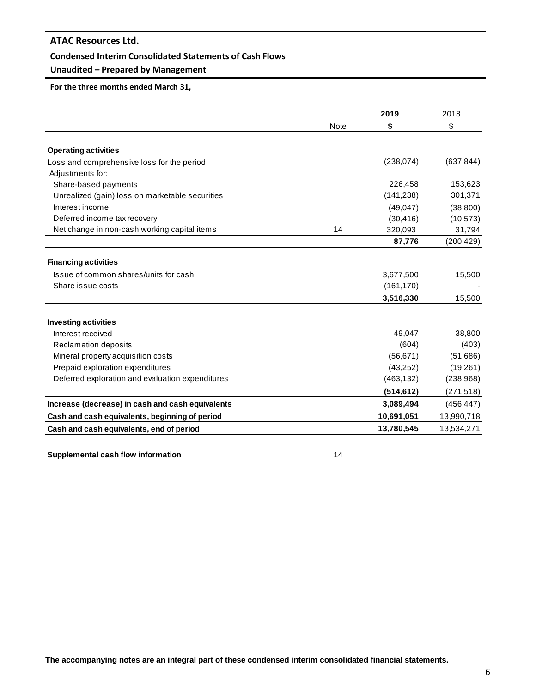### **Condensed Interim Consolidated Statements of Cash Flows**

# **Unaudited – Prepared by Management**

**For the three months ended March 31,**

|                                                  |             | 2019       |            |
|--------------------------------------------------|-------------|------------|------------|
|                                                  | <b>Note</b> | \$         | 2018<br>\$ |
|                                                  |             |            |            |
| <b>Operating activities</b>                      |             |            |            |
| Loss and comprehensive loss for the period       |             | (238, 074) | (637, 844) |
| Adjustments for:                                 |             |            |            |
| Share-based payments                             |             | 226,458    | 153,623    |
| Unrealized (gain) loss on marketable securities  |             | (141, 238) | 301,371    |
| Interest income                                  |             | (49, 047)  | (38, 800)  |
| Deferred income tax recovery                     |             | (30, 416)  | (10, 573)  |
| Net change in non-cash working capital items     | 14          | 320,093    | 31,794     |
|                                                  |             | 87,776     | (200, 429) |
| <b>Financing activities</b>                      |             |            |            |
| Issue of common shares/units for cash            |             | 3,677,500  | 15,500     |
| Share issue costs                                |             | (161, 170) |            |
|                                                  |             | 3,516,330  | 15,500     |
| <b>Investing activities</b>                      |             |            |            |
| Interest received                                |             | 49,047     | 38,800     |
| <b>Reclamation deposits</b>                      |             | (604)      | (403)      |
| Mineral property acquisition costs               |             | (56, 671)  | (51,686)   |
| Prepaid exploration expenditures                 |             | (43,252)   | (19,261)   |
| Deferred exploration and evaluation expenditures |             | (463, 132) | (238, 968) |
|                                                  |             | (514, 612) | (271, 518) |
|                                                  |             |            |            |
| Increase (decrease) in cash and cash equivalents |             | 3,089,494  | (456, 447) |
| Cash and cash equivalents, beginning of period   |             | 10,691,051 | 13,990,718 |
| Cash and cash equivalents, end of period         |             | 13,780,545 | 13,534,271 |

**Supplemental cash flow information** 14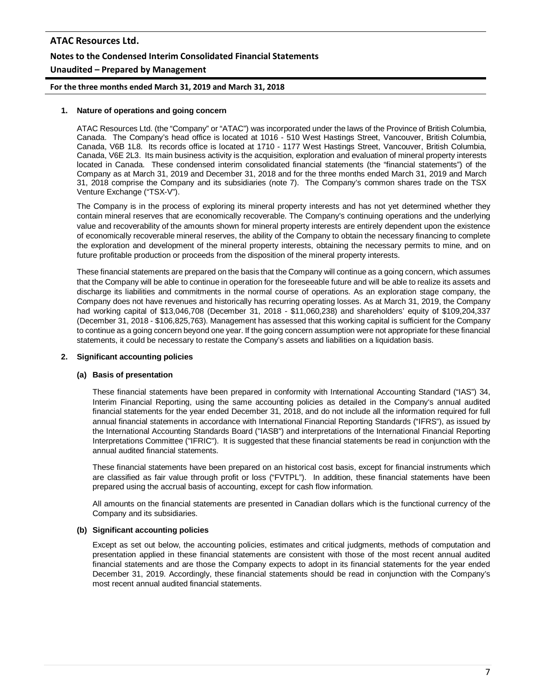# **ATAC Resources Ltd. Notes to the Condensed Interim Consolidated Financial Statements Unaudited – Prepared by Management**

**For the three months ended March 31, 2019 and March 31, 2018**

#### **1. Nature of operations and going concern**

ATAC Resources Ltd. (the "Company" or "ATAC") was incorporated under the laws of the Province of British Columbia, Canada. The Company's head office is located at 1016 - 510 West Hastings Street, Vancouver, British Columbia, Canada, V6B 1L8. Its records office is located at 1710 - 1177 West Hastings Street, Vancouver, British Columbia, Canada, V6E 2L3. Its main business activity is the acquisition, exploration and evaluation of mineral property interests located in Canada. These condensed interim consolidated financial statements (the "financial statements") of the Company as at March 31, 2019 and December 31, 2018 and for the three months ended March 31, 2019 and March 31, 2018 comprise the Company and its subsidiaries (note 7). The Company's common shares trade on the TSX Venture Exchange ("TSX-V").

The Company is in the process of exploring its mineral property interests and has not yet determined whether they contain mineral reserves that are economically recoverable. The Company's continuing operations and the underlying value and recoverability of the amounts shown for mineral property interests are entirely dependent upon the existence of economically recoverable mineral reserves, the ability of the Company to obtain the necessary financing to complete the exploration and development of the mineral property interests, obtaining the necessary permits to mine, and on future profitable production or proceeds from the disposition of the mineral property interests.

These financial statements are prepared on the basis that the Company will continue as a going concern, which assumes that the Company will be able to continue in operation for the foreseeable future and will be able to realize its assets and discharge its liabilities and commitments in the normal course of operations. As an exploration stage company, the Company does not have revenues and historically has recurring operating losses. As at March 31, 2019, the Company had working capital of \$13,046,708 (December 31, 2018 - \$11,060,238) and shareholders' equity of \$109,204,337 (December 31, 2018 - \$106,825,763). Management has assessed that this working capital is sufficient for the Company to continue as a going concern beyond one year. If the going concern assumption were not appropriate for these financial statements, it could be necessary to restate the Company's assets and liabilities on a liquidation basis.

### **2. Significant accounting policies**

#### **(a) Basis of presentation**

These financial statements have been prepared in conformity with International Accounting Standard ("IAS") 34, Interim Financial Reporting, using the same accounting policies as detailed in the Company's annual audited financial statements for the year ended December 31, 2018, and do not include all the information required for full annual financial statements in accordance with International Financial Reporting Standards ("IFRS"), as issued by the International Accounting Standards Board ("IASB") and interpretations of the International Financial Reporting Interpretations Committee ("IFRIC"). It is suggested that these financial statements be read in conjunction with the annual audited financial statements.

These financial statements have been prepared on an historical cost basis, except for financial instruments which are classified as fair value through profit or loss ("FVTPL"). In addition, these financial statements have been prepared using the accrual basis of accounting, except for cash flow information.

All amounts on the financial statements are presented in Canadian dollars which is the functional currency of the Company and its subsidiaries.

#### **(b) Significant accounting policies**

Except as set out below, the accounting policies, estimates and critical judgments, methods of computation and presentation applied in these financial statements are consistent with those of the most recent annual audited financial statements and are those the Company expects to adopt in its financial statements for the year ended December 31, 2019. Accordingly, these financial statements should be read in conjunction with the Company's most recent annual audited financial statements.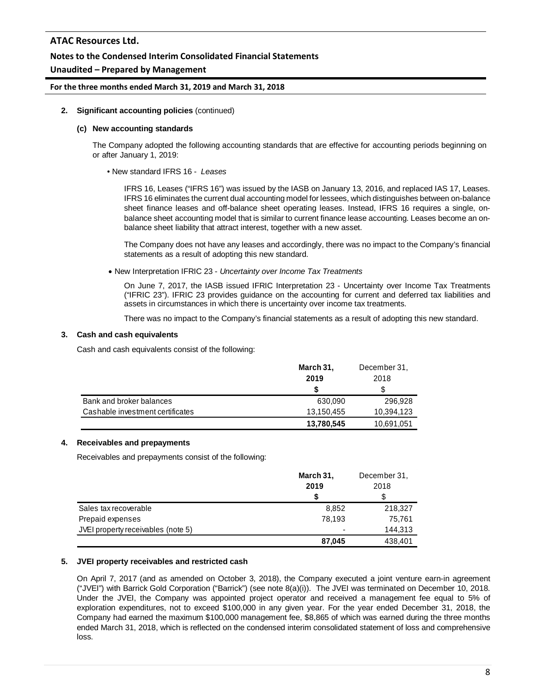## **Notes to the Condensed Interim Consolidated Financial Statements**

## **Unaudited – Prepared by Management**

### **For the three months ended March 31, 2019 and March 31, 2018**

#### **2. Significant accounting policies** (continued)

#### **(c) New accounting standards**

The Company adopted the following accounting standards that are effective for accounting periods beginning on or after January 1, 2019:

• New standard IFRS 16 - *Leases*

IFRS 16, Leases ("IFRS 16") was issued by the IASB on January 13, 2016, and replaced IAS 17, Leases. IFRS 16 eliminates the current dual accounting model for lessees, which distinguishes between on-balance sheet finance leases and off-balance sheet operating leases. Instead, IFRS 16 requires a single, onbalance sheet accounting model that is similar to current finance lease accounting. Leases become an onbalance sheet liability that attract interest, together with a new asset.

The Company does not have any leases and accordingly, there was no impact to the Company's financial statements as a result of adopting this new standard.

• New Interpretation IFRIC 23 - *Uncertainty over Income Tax Treatments*

On June 7, 2017, the IASB issued IFRIC Interpretation 23 - Uncertainty over Income Tax Treatments ("IFRIC 23"). IFRIC 23 provides guidance on the accounting for current and deferred tax liabilities and assets in circumstances in which there is uncertainty over income tax treatments.

There was no impact to the Company's financial statements as a result of adopting this new standard.

#### **3. Cash and cash equivalents**

Cash and cash equivalents consist of the following:

|                                  | March 31,  | December 31, |
|----------------------------------|------------|--------------|
|                                  | 2019       | 2018         |
|                                  |            |              |
| Bank and broker balances         | 630.090    | 296.928      |
| Cashable investment certificates | 13,150,455 | 10,394,123   |
|                                  | 13,780,545 | 10,691,051   |

### **4. Receivables and prepayments**

Receivables and prepayments consist of the following:

|                                    | March 31, | December 31. |
|------------------------------------|-----------|--------------|
|                                    | 2019      | 2018         |
|                                    | S         | S            |
| Sales tax recoverable              | 8,852     | 218,327      |
| Prepaid expenses                   | 78,193    | 75,761       |
| JVEI property receivables (note 5) | ٠         | 144,313      |
|                                    | 87,045    | 438,401      |

### **5. JVEI property receivables and restricted cash**

On April 7, 2017 (and as amended on October 3, 2018), the Company executed a joint venture earn-in agreement ("JVEI") with Barrick Gold Corporation ("Barrick") (see note 8(a)(i)). The JVEI was terminated on December 10, 2018. Under the JVEI, the Company was appointed project operator and received a management fee equal to 5% of exploration expenditures, not to exceed \$100,000 in any given year. For the year ended December 31, 2018, the Company had earned the maximum \$100,000 management fee, \$8,865 of which was earned during the three months ended March 31, 2018, which is reflected on the condensed interim consolidated statement of loss and comprehensive loss.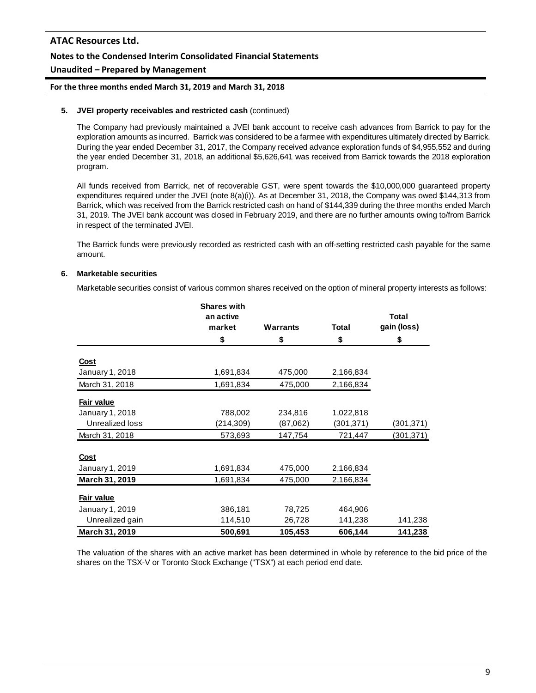# **Notes to the Condensed Interim Consolidated Financial Statements**

# **Unaudited – Prepared by Management**

### **For the three months ended March 31, 2019 and March 31, 2018**

### **5. JVEI property receivables and restricted cash** (continued)

The Company had previously maintained a JVEI bank account to receive cash advances from Barrick to pay for the exploration amounts as incurred. Barrick was considered to be a farmee with expenditures ultimately directed by Barrick. During the year ended December 31, 2017, the Company received advance exploration funds of \$4,955,552 and during the year ended December 31, 2018, an additional \$5,626,641 was received from Barrick towards the 2018 exploration program.

All funds received from Barrick, net of recoverable GST, were spent towards the \$10,000,000 guaranteed property expenditures required under the JVEI (note 8(a)(i)). As at December 31, 2018, the Company was owed \$144,313 from Barrick, which was received from the Barrick restricted cash on hand of \$144,339 during the three months ended March 31, 2019. The JVEI bank account was closed in February 2019, and there are no further amounts owing to/from Barrick in respect of the terminated JVEI.

The Barrick funds were previously recorded as restricted cash with an off-setting restricted cash payable for the same amount.

### **6. Marketable securities**

Marketable securities consist of various common shares received on the option of mineral property interests as follows:

|                                | <b>Shares with</b>  |                 |              |                             |
|--------------------------------|---------------------|-----------------|--------------|-----------------------------|
|                                | an active<br>market | <b>Warrants</b> | <b>Total</b> | <b>Total</b><br>gain (loss) |
|                                | \$                  | \$              | \$           | \$                          |
|                                |                     |                 |              |                             |
| <b>Cost</b><br>January 1, 2018 | 1,691,834           | 475,000         | 2,166,834    |                             |
| March 31, 2018                 | 1,691,834           | 475,000         | 2,166,834    |                             |
| Fair value                     |                     |                 |              |                             |
| January 1, 2018                | 788,002             | 234,816         | 1,022,818    |                             |
| Unrealized loss                | (214,309)           | (87,062)        | (301, 371)   | (301, 371)                  |
| March 31, 2018                 | 573,693             | 147,754         | 721,447      | (301, 371)                  |
| Cost                           |                     |                 |              |                             |
| January 1, 2019                | 1,691,834           | 475,000         | 2,166,834    |                             |
| March 31, 2019                 | 1,691,834           | 475,000         | 2,166,834    |                             |
| Fair value                     |                     |                 |              |                             |
| January 1, 2019                | 386,181             | 78,725          | 464,906      |                             |
| Unrealized gain                | 114,510             | 26,728          | 141,238      | 141,238                     |
| March 31, 2019                 | 500,691             | 105,453         | 606,144      | 141,238                     |

The valuation of the shares with an active market has been determined in whole by reference to the bid price of the shares on the TSX-V or Toronto Stock Exchange ("TSX") at each period end date.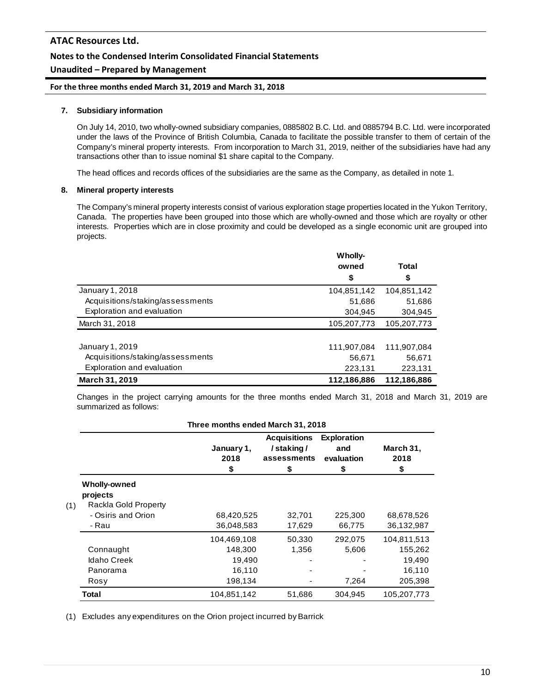# **Unaudited – Prepared by Management**

**For the three months ended March 31, 2019 and March 31, 2018**

### **7. Subsidiary information**

On July 14, 2010, two wholly-owned subsidiary companies, 0885802 B.C. Ltd. and 0885794 B.C. Ltd. were incorporated under the laws of the Province of British Columbia, Canada to facilitate the possible transfer to them of certain of the Company's mineral property interests. From incorporation to March 31, 2019, neither of the subsidiaries have had any transactions other than to issue nominal \$1 share capital to the Company.

The head offices and records offices of the subsidiaries are the same as the Company, as detailed in note 1.

#### **8. Mineral property interests**

The Company's mineral property interests consist of various exploration stage properties located in the Yukon Territory, Canada. The properties have been grouped into those which are wholly-owned and those which are royalty or other interests. Properties which are in close proximity and could be developed as a single economic unit are grouped into projects.

|                                  | <b>Wholly-</b> |             |
|----------------------------------|----------------|-------------|
|                                  | owned          | Total       |
|                                  | \$             | \$          |
| January 1, 2018                  | 104,851,142    | 104,851,142 |
| Acquisitions/staking/assessments | 51,686         | 51,686      |
| Exploration and evaluation       | 304.945        | 304,945     |
| March 31, 2018                   | 105,207,773    | 105,207,773 |
|                                  |                |             |
| January 1, 2019                  | 111,907,084    | 111,907,084 |
| Acquisitions/staking/assessments | 56,671         | 56,671      |
| Exploration and evaluation       | 223,131        | 223,131     |
| <b>March 31, 2019</b>            | 112,186,886    | 112,186,886 |

Changes in the project carrying amounts for the three months ended March 31, 2018 and March 31, 2019 are summarized as follows:

| Three months ended March 31, 2018 |                                                         |                                            |                                                       |                                               |                                            |  |
|-----------------------------------|---------------------------------------------------------|--------------------------------------------|-------------------------------------------------------|-----------------------------------------------|--------------------------------------------|--|
|                                   |                                                         | January 1,<br>2018<br>\$                   | <b>Acquisitions</b><br>/staking/<br>assessments<br>\$ | <b>Exploration</b><br>and<br>evaluation<br>\$ | March 31,<br>2018<br>\$                    |  |
| (1)                               | <b>Wholly-owned</b><br>projects<br>Rackla Gold Property |                                            |                                                       |                                               |                                            |  |
|                                   | - Osiris and Orion<br>- Rau                             | 68,420,525<br>36,048,583                   | 32,701<br>17,629                                      | 225,300<br>66,775                             | 68,678,526<br>36,132,987                   |  |
|                                   | Connaught<br><b>Idaho Creek</b><br>Panorama             | 104,469,108<br>148,300<br>19,490<br>16,110 | 50,330<br>1,356                                       | 292,075<br>5,606                              | 104,811,513<br>155,262<br>19,490<br>16,110 |  |
|                                   | Rosy<br>Total                                           | 198,134<br>104,851,142                     | 51,686                                                | 7,264<br>304,945                              | 205,398<br>105,207,773                     |  |

(1) Excludes any expenditures on the Orion project incurred by Barrick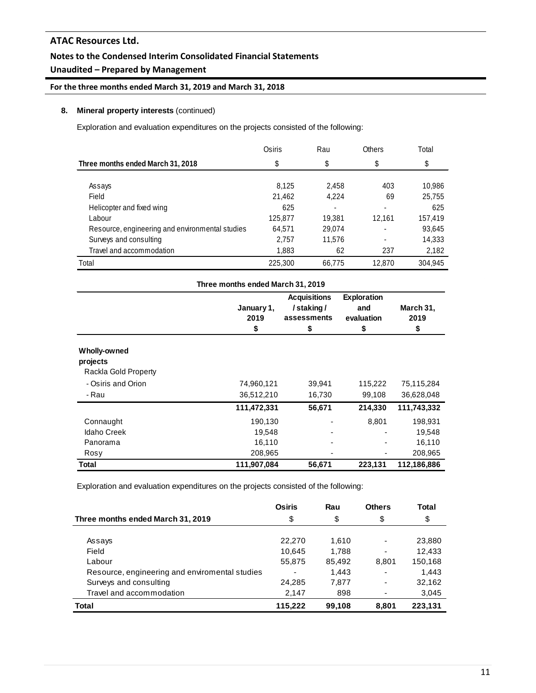# **Notes to the Condensed Interim Consolidated Financial Statements**

# **Unaudited – Prepared by Management**

**For the three months ended March 31, 2019 and March 31, 2018**

### **8. Mineral property interests** (continued)

Exploration and evaluation expenditures on the projects consisted of the following:

|                                                 | Osiris  | Rau    | Others | Total   |
|-------------------------------------------------|---------|--------|--------|---------|
| Three months ended March 31, 2018               | \$      | \$     | \$     | \$      |
|                                                 |         |        |        |         |
| Assays                                          | 8,125   | 2,458  | 403    | 10,986  |
| Field                                           | 21.462  | 4.224  | 69     | 25,755  |
| Helicopter and fixed wing                       | 625     |        |        | 625     |
| Labour                                          | 125,877 | 19.381 | 12,161 | 157,419 |
| Resource, engineering and environmental studies | 64,571  | 29.074 |        | 93,645  |
| Surveys and consulting                          | 2,757   | 11,576 |        | 14,333  |
| Travel and accommodation                        | 1,883   | 62     | 237    | 2,182   |
| Total                                           | 225,300 | 66.775 | 12.870 | 304.945 |

| Three months ended March 31, 2019 |                          |                                                       |                                               |                         |  |  |  |
|-----------------------------------|--------------------------|-------------------------------------------------------|-----------------------------------------------|-------------------------|--|--|--|
|                                   | January 1,<br>2019<br>\$ | <b>Acquisitions</b><br>/staking/<br>assessments<br>\$ | <b>Exploration</b><br>and<br>evaluation<br>\$ | March 31,<br>2019<br>\$ |  |  |  |
| <b>Wholly-owned</b>               |                          |                                                       |                                               |                         |  |  |  |
| projects                          |                          |                                                       |                                               |                         |  |  |  |
| Rackla Gold Property              |                          |                                                       |                                               |                         |  |  |  |
| - Osiris and Orion                | 74,960,121               | 39,941                                                | 115,222                                       | 75,115,284              |  |  |  |
| - Rau                             | 36,512,210               | 16,730                                                | 99,108                                        | 36,628,048              |  |  |  |
|                                   | 111,472,331              | 56,671                                                | 214,330                                       | 111,743,332             |  |  |  |
| Connaught                         | 190,130                  |                                                       | 8,801                                         | 198,931                 |  |  |  |
| <b>Idaho Creek</b>                | 19,548                   |                                                       |                                               | 19,548                  |  |  |  |
| Panorama                          | 16,110                   |                                                       |                                               | 16,110                  |  |  |  |
| Rosy                              | 208,965                  |                                                       |                                               | 208,965                 |  |  |  |
| Total                             | 111,907,084              | 56,671                                                | 223,131                                       | 112,186,886             |  |  |  |

Exploration and evaluation expenditures on the projects consisted of the following:

|                                                | Osiris                   | Rau    | <b>Others</b>            | <b>Total</b> |
|------------------------------------------------|--------------------------|--------|--------------------------|--------------|
| Three months ended March 31, 2019              | \$                       | \$     | \$                       | \$           |
|                                                |                          |        |                          |              |
| Assays                                         | 22,270                   | 1.610  | ٠                        | 23,880       |
| Field                                          | 10,645                   | 1,788  | $\overline{\phantom{a}}$ | 12,433       |
| Labour                                         | 55,875                   | 85,492 | 8,801                    | 150,168      |
| Resource, engineering and enviromental studies | $\overline{\phantom{0}}$ | 1,443  | ٠                        | 1,443        |
| Surveys and consulting                         | 24,285                   | 7,877  | ٠                        | 32,162       |
| Travel and accommodation                       | 2,147                    | 898    | -                        | 3,045        |
| Total                                          | 115.222                  | 99,108 | 8,801                    | 223,131      |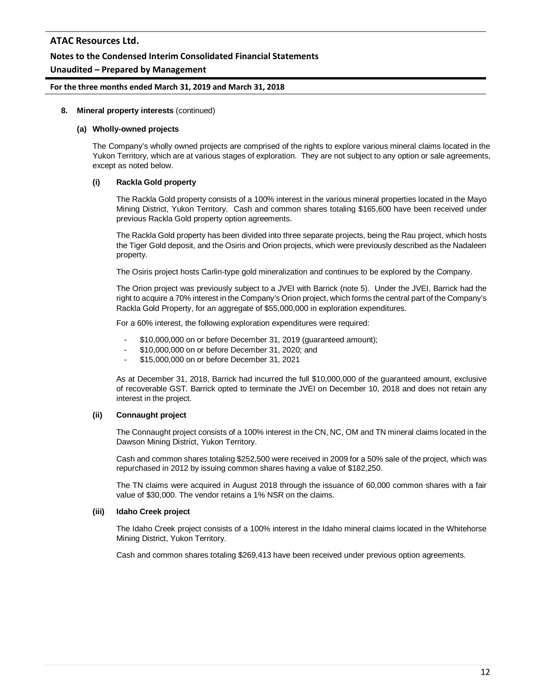# **Unaudited – Prepared by Management**

#### **For the three months ended March 31, 2019 and March 31, 2018**

#### **8. Mineral property interests** (continued)

#### **(a) Wholly-owned projects**

The Company's wholly owned projects are comprised of the rights to explore various mineral claims located in the Yukon Territory, which are at various stages of exploration. They are not subject to any option or sale agreements, except as noted below.

### **(i) Rackla Gold property**

The Rackla Gold property consists of a 100% interest in the various mineral properties located in the Mayo Mining District, Yukon Territory. Cash and common shares totaling \$165,600 have been received under previous Rackla Gold property option agreements.

The Rackla Gold property has been divided into three separate projects, being the Rau project, which hosts the Tiger Gold deposit, and the Osiris and Orion projects, which were previously described as the Nadaleen property.

The Osiris project hosts Carlin-type gold mineralization and continues to be explored by the Company.

The Orion project was previously subject to a JVEI with Barrick (note 5). Under the JVEI, Barrick had the right to acquire a 70% interest in the Company's Orion project, which forms the central part of the Company's Rackla Gold Property, for an aggregate of \$55,000,000 in exploration expenditures.

For a 60% interest, the following exploration expenditures were required:

- \$10,000,000 on or before December 31, 2019 (guaranteed amount);
- \$10,000,000 on or before December 31, 2020; and
- \$15,000,000 on or before December 31, 2021

As at December 31, 2018, Barrick had incurred the full \$10,000,000 of the guaranteed amount, exclusive of recoverable GST. Barrick opted to terminate the JVEI on December 10, 2018 and does not retain any interest in the project.

### **(ii) Connaught project**

The Connaught project consists of a 100% interest in the CN, NC, OM and TN mineral claims located in the Dawson Mining District, Yukon Territory.

Cash and common shares totaling \$252,500 were received in 2009 for a 50% sale of the project, which was repurchased in 2012 by issuing common shares having a value of \$182,250.

The TN claims were acquired in August 2018 through the issuance of 60,000 common shares with a fair value of \$30,000. The vendor retains a 1% NSR on the claims.

#### **(iii) Idaho Creek project**

The Idaho Creek project consists of a 100% interest in the Idaho mineral claims located in the Whitehorse Mining District, Yukon Territory.

Cash and common shares totaling \$269,413 have been received under previous option agreements.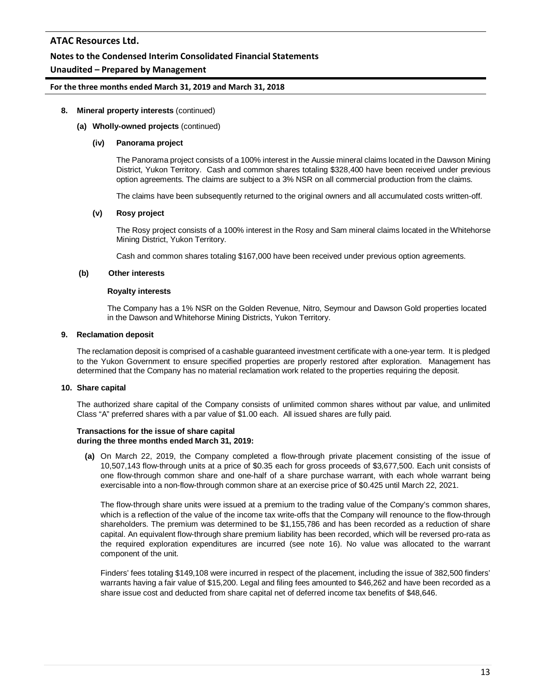# **Notes to the Condensed Interim Consolidated Financial Statements**

# **Unaudited – Prepared by Management**

#### **For the three months ended March 31, 2019 and March 31, 2018**

#### **8. Mineral property interests** (continued)

#### **(a) Wholly-owned projects** (continued)

#### **(iv) Panorama project**

The Panorama project consists of a 100% interest in the Aussie mineral claims located in the Dawson Mining District, Yukon Territory. Cash and common shares totaling \$328,400 have been received under previous option agreements. The claims are subject to a 3% NSR on all commercial production from the claims.

The claims have been subsequently returned to the original owners and all accumulated costs written-off.

#### **(v) Rosy project**

The Rosy project consists of a 100% interest in the Rosy and Sam mineral claims located in the Whitehorse Mining District, Yukon Territory.

Cash and common shares totaling \$167,000 have been received under previous option agreements.

#### **(b) Other interests**

#### **Royalty interests**

The Company has a 1% NSR on the Golden Revenue, Nitro, Seymour and Dawson Gold properties located in the Dawson and Whitehorse Mining Districts, Yukon Territory.

#### **9. Reclamation deposit**

The reclamation deposit is comprised of a cashable guaranteed investment certificate with a one-year term. It is pledged to the Yukon Government to ensure specified properties are properly restored after exploration. Management has determined that the Company has no material reclamation work related to the properties requiring the deposit.

### **10. Share capital**

The authorized share capital of the Company consists of unlimited common shares without par value, and unlimited Class "A" preferred shares with a par value of \$1.00 each. All issued shares are fully paid.

#### **Transactions for the issue of share capital during the three months ended March 31, 2019:**

**(a)** On March 22, 2019, the Company completed a flow-through private placement consisting of the issue of 10,507,143 flow-through units at a price of \$0.35 each for gross proceeds of \$3,677,500. Each unit consists of one flow-through common share and one-half of a share purchase warrant, with each whole warrant being exercisable into a non-flow-through common share at an exercise price of \$0.425 until March 22, 2021.

The flow-through share units were issued at a premium to the trading value of the Company's common shares, which is a reflection of the value of the income tax write-offs that the Company will renounce to the flow-through shareholders. The premium was determined to be \$1,155,786 and has been recorded as a reduction of share capital. An equivalent flow-through share premium liability has been recorded, which will be reversed pro-rata as the required exploration expenditures are incurred (see note 16). No value was allocated to the warrant component of the unit.

Finders' fees totaling \$149,108 were incurred in respect of the placement, including the issue of 382,500 finders' warrants having a fair value of \$15,200. Legal and filing fees amounted to \$46,262 and have been recorded as a share issue cost and deducted from share capital net of deferred income tax benefits of \$48,646.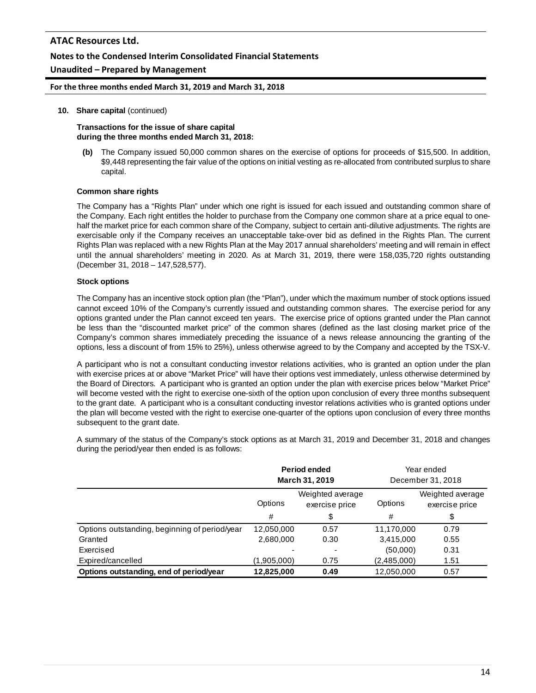## **Unaudited – Prepared by Management**

**For the three months ended March 31, 2019 and March 31, 2018**

#### **10. Share capital** (continued)

**Transactions for the issue of share capital during the three months ended March 31, 2018:**

**(b)** The Company issued 50,000 common shares on the exercise of options for proceeds of \$15,500. In addition, \$9,448 representing the fair value of the options on initial vesting as re-allocated from contributed surplus to share capital.

#### **Common share rights**

The Company has a "Rights Plan" under which one right is issued for each issued and outstanding common share of the Company. Each right entitles the holder to purchase from the Company one common share at a price equal to onehalf the market price for each common share of the Company, subject to certain anti-dilutive adjustments. The rights are exercisable only if the Company receives an unacceptable take-over bid as defined in the Rights Plan. The current Rights Plan was replaced with a new Rights Plan at the May 2017 annual shareholders' meeting and will remain in effect until the annual shareholders' meeting in 2020. As at March 31, 2019, there were 158,035,720 rights outstanding (December 31, 2018 – 147,528,577).

#### **Stock options**

The Company has an incentive stock option plan (the "Plan"), under which the maximum number of stock options issued cannot exceed 10% of the Company's currently issued and outstanding common shares. The exercise period for any options granted under the Plan cannot exceed ten years. The exercise price of options granted under the Plan cannot be less than the "discounted market price" of the common shares (defined as the last closing market price of the Company's common shares immediately preceding the issuance of a news release announcing the granting of the options, less a discount of from 15% to 25%), unless otherwise agreed to by the Company and accepted by the TSX-V.

A participant who is not a consultant conducting investor relations activities, who is granted an option under the plan with exercise prices at or above "Market Price" will have their options vest immediately, unless otherwise determined by the Board of Directors. A participant who is granted an option under the plan with exercise prices below "Market Price" will become vested with the right to exercise one-sixth of the option upon conclusion of every three months subsequent to the grant date. A participant who is a consultant conducting investor relations activities who is granted options under the plan will become vested with the right to exercise one-quarter of the options upon conclusion of every three months subsequent to the grant date.

A summary of the status of the Company's stock options as at March 31, 2019 and December 31, 2018 and changes during the period/year then ended is as follows:

|                                               | Period ended<br>March 31, 2019 |                                    | Year ended<br>December 31, 2018 |                                    |
|-----------------------------------------------|--------------------------------|------------------------------------|---------------------------------|------------------------------------|
|                                               | Options                        | Weighted average<br>exercise price | Options                         | Weighted average<br>exercise price |
|                                               | #                              | \$                                 | #                               | \$                                 |
| Options outstanding, beginning of period/year | 12,050,000                     | 0.57                               | 11,170,000                      | 0.79                               |
| Granted                                       | 2,680,000                      | 0.30                               | 3,415,000                       | 0.55                               |
| Exercised                                     |                                |                                    | (50,000)                        | 0.31                               |
| Expired/cancelled                             | (1,905,000)                    | 0.75                               | (2,485,000)                     | 1.51                               |
| Options outstanding, end of period/year       | 12,825,000                     | 0.49                               | 12.050.000                      | 0.57                               |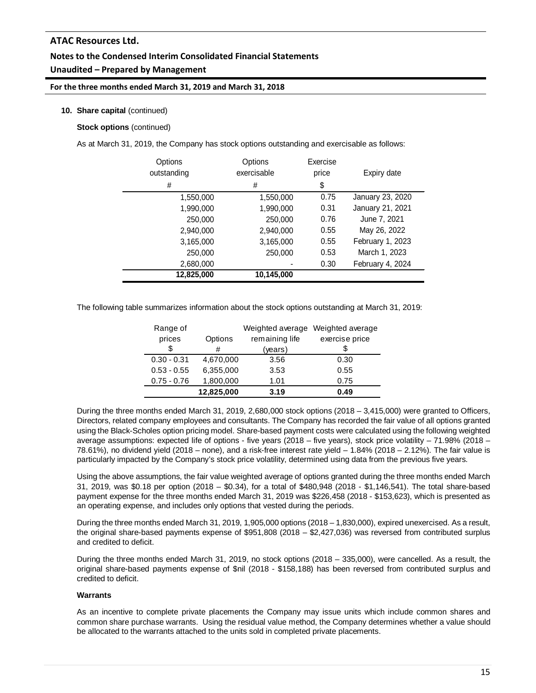# **Notes to the Condensed Interim Consolidated Financial Statements Unaudited – Prepared by Management**

**For the three months ended March 31, 2019 and March 31, 2018**

### **10. Share capital** (continued)

**Stock options** (continued)

As at March 31, 2019, the Company has stock options outstanding and exercisable as follows:

| Options<br>outstanding<br># | Options<br>exercisable<br># | Exercise<br>price<br>\$ | Expiry date      |
|-----------------------------|-----------------------------|-------------------------|------------------|
| 1,550,000                   | 1,550,000                   | 0.75                    | January 23, 2020 |
| 1,990,000                   | 1,990,000                   | 0.31                    | January 21, 2021 |
| 250,000                     | 250,000                     | 0.76                    | June 7, 2021     |
| 2,940,000                   | 2,940,000                   | 0.55                    | May 26, 2022     |
| 3,165,000                   | 3,165,000                   | 0.55                    | February 1, 2023 |
| 250,000                     | 250,000                     | 0.53                    | March 1, 2023    |
| 2,680,000                   |                             | 0.30                    | February 4, 2024 |
| 12,825,000                  | 10,145,000                  |                         |                  |

The following table summarizes information about the stock options outstanding at March 31, 2019:

| Range of      |            |                | Weighted average Weighted average |
|---------------|------------|----------------|-----------------------------------|
| prices        | Options    | remaining life | exercise price                    |
| \$            | #          | (years)        |                                   |
| $0.30 - 0.31$ | 4,670,000  | 3.56           | 0.30                              |
| $0.53 - 0.55$ | 6,355,000  | 3.53           | 0.55                              |
| $0.75 - 0.76$ | 1,800,000  | 1.01           | 0.75                              |
|               | 12,825,000 | 3.19           | 0.49                              |

During the three months ended March 31, 2019, 2,680,000 stock options (2018 – 3,415,000) were granted to Officers, Directors, related company employees and consultants. The Company has recorded the fair value of all options granted using the Black-Scholes option pricing model. Share-based payment costs were calculated using the following weighted average assumptions: expected life of options - five years (2018 – five years), stock price volatility – 71.98% (2018 – 78.61%), no dividend yield (2018 – none), and a risk-free interest rate yield – 1.84% (2018 – 2.12%). The fair value is particularly impacted by the Company's stock price volatility, determined using data from the previous five years.

Using the above assumptions, the fair value weighted average of options granted during the three months ended March 31, 2019, was \$0.18 per option (2018 – \$0.34), for a total of \$480,948 (2018 - \$1,146,541). The total share-based payment expense for the three months ended March 31, 2019 was \$226,458 (2018 - \$153,623), which is presented as an operating expense, and includes only options that vested during the periods.

During the three months ended March 31, 2019, 1,905,000 options (2018 – 1,830,000), expired unexercised. As a result, the original share-based payments expense of \$951,808 (2018 – \$2,427,036) was reversed from contributed surplus and credited to deficit.

During the three months ended March 31, 2019, no stock options (2018 – 335,000), were cancelled. As a result, the original share-based payments expense of \$nil (2018 - \$158,188) has been reversed from contributed surplus and credited to deficit.

#### **Warrants**

As an incentive to complete private placements the Company may issue units which include common shares and common share purchase warrants. Using the residual value method, the Company determines whether a value should be allocated to the warrants attached to the units sold in completed private placements.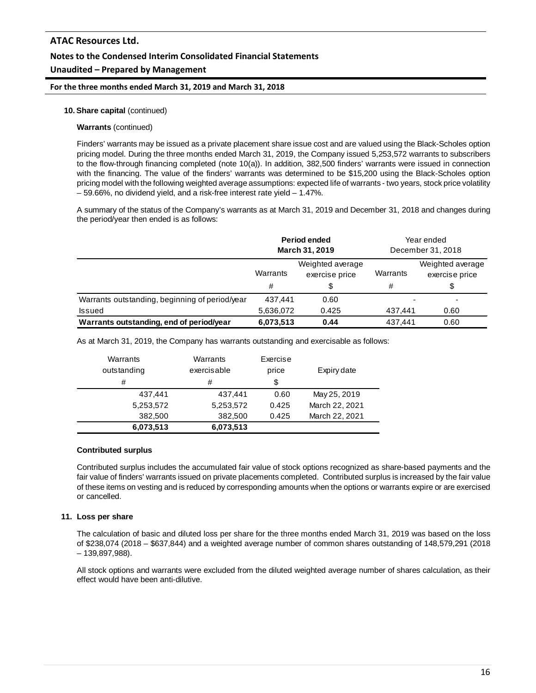**For the three months ended March 31, 2019 and March 31, 2018**

#### **10. Share capital** (continued)

#### **Warrants** (continued)

Finders' warrants may be issued as a private placement share issue cost and are valued using the Black-Scholes option pricing model. During the three months ended March 31, 2019, the Company issued 5,253,572 warrants to subscribers to the flow-through financing completed (note 10(a)). In addition, 382,500 finders' warrants were issued in connection with the financing. The value of the finders' warrants was determined to be \$15,200 using the Black-Scholes option pricing model with the following weighted average assumptions: expected life of warrants - two years, stock price volatility – 59.66%, no dividend yield, and a risk-free interest rate yield – 1.47%.

A summary of the status of the Company's warrants as at March 31, 2019 and December 31, 2018 and changes during the period/year then ended is as follows:

|                                                | Period ended<br><b>March 31, 2019</b>                                      |       | Year ended<br>December 31, 2018 |                                          |
|------------------------------------------------|----------------------------------------------------------------------------|-------|---------------------------------|------------------------------------------|
|                                                | Weighted average<br>Warrants<br>Warrants<br>exercise price<br>#<br>#<br>\$ |       |                                 | Weighted average<br>exercise price<br>\$ |
| Warrants outstanding, beginning of period/year | 437.441                                                                    | 0.60  |                                 |                                          |
| Issued                                         | 5,636,072                                                                  | 0.425 | 437.441                         | 0.60                                     |
| Warrants outstanding, end of period/year       | 6,073,513                                                                  | 0.44  | 437.441                         | 0.60                                     |

As at March 31, 2019, the Company has warrants outstanding and exercisable as follows:

| Warrants    | Warrants    | Exercise |                |
|-------------|-------------|----------|----------------|
| outstanding | exercisable | price    | Expiry date    |
| #           | #           | \$       |                |
| 437.441     | 437,441     | 0.60     | May 25, 2019   |
| 5,253,572   | 5,253,572   | 0.425    | March 22, 2021 |
| 382,500     | 382,500     | 0.425    | March 22, 2021 |
| 6.073.513   | 6,073,513   |          |                |

#### **Contributed surplus**

Contributed surplus includes the accumulated fair value of stock options recognized as share-based payments and the fair value of finders' warrants issued on private placements completed. Contributed surplus is increased by the fair value of these items on vesting and is reduced by corresponding amounts when the options or warrants expire or are exercised or cancelled.

#### **11. Loss per share**

The calculation of basic and diluted loss per share for the three months ended March 31, 2019 was based on the loss of \$238,074 (2018 – \$637,844) and a weighted average number of common shares outstanding of 148,579,291 (2018 – 139,897,988).

All stock options and warrants were excluded from the diluted weighted average number of shares calculation, as their effect would have been anti-dilutive.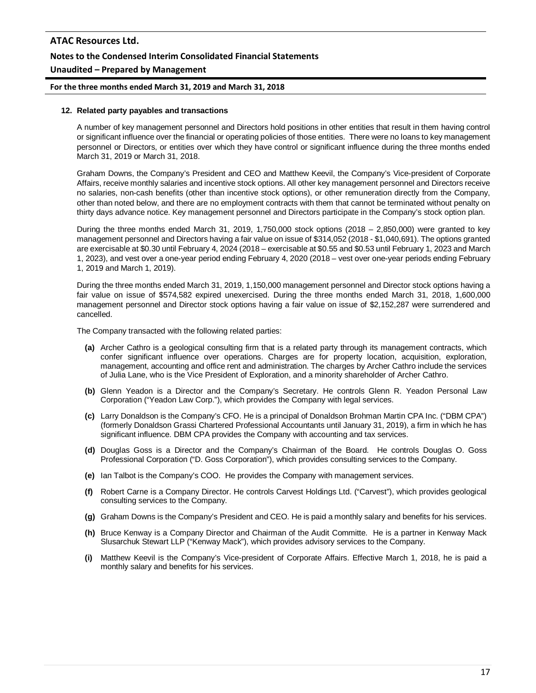# **ATAC Resources Ltd. Notes to the Condensed Interim Consolidated Financial Statements Unaudited – Prepared by Management**

#### **For the three months ended March 31, 2019 and March 31, 2018**

#### **12. Related party payables and transactions**

A number of key management personnel and Directors hold positions in other entities that result in them having control or significant influence over the financial or operating policies of those entities. There were no loans to key management personnel or Directors, or entities over which they have control or significant influence during the three months ended March 31, 2019 or March 31, 2018.

Graham Downs, the Company's President and CEO and Matthew Keevil, the Company's Vice-president of Corporate Affairs, receive monthly salaries and incentive stock options. All other key management personnel and Directors receive no salaries, non-cash benefits (other than incentive stock options), or other remuneration directly from the Company, other than noted below, and there are no employment contracts with them that cannot be terminated without penalty on thirty days advance notice. Key management personnel and Directors participate in the Company's stock option plan.

During the three months ended March 31, 2019, 1,750,000 stock options (2018 – 2,850,000) were granted to key management personnel and Directors having a fair value on issue of \$314,052 (2018 - \$1,040,691). The options granted are exercisable at \$0.30 until February 4, 2024 (2018 – exercisable at \$0.55 and \$0.53 until February 1, 2023 and March 1, 2023), and vest over a one-year period ending February 4, 2020 (2018 – vest over one-year periods ending February 1, 2019 and March 1, 2019).

During the three months ended March 31, 2019, 1,150,000 management personnel and Director stock options having a fair value on issue of \$574,582 expired unexercised. During the three months ended March 31, 2018, 1,600,000 management personnel and Director stock options having a fair value on issue of \$2,152,287 were surrendered and cancelled.

The Company transacted with the following related parties:

- **(a)** Archer Cathro is a geological consulting firm that is a related party through its management contracts, which confer significant influence over operations. Charges are for property location, acquisition, exploration, management, accounting and office rent and administration. The charges by Archer Cathro include the services of Julia Lane, who is the Vice President of Exploration, and a minority shareholder of Archer Cathro.
- **(b)** Glenn Yeadon is a Director and the Company's Secretary. He controls Glenn R. Yeadon Personal Law Corporation ("Yeadon Law Corp."), which provides the Company with legal services.
- **(c)** Larry Donaldson is the Company's CFO. He is a principal of Donaldson Brohman Martin CPA Inc. ("DBM CPA") (formerly Donaldson Grassi Chartered Professional Accountants until January 31, 2019), a firm in which he has significant influence. DBM CPA provides the Company with accounting and tax services.
- **(d)** Douglas Goss is a Director and the Company's Chairman of the Board. He controls Douglas O. Goss Professional Corporation ("D. Goss Corporation"), which provides consulting services to the Company.
- **(e)** Ian Talbot is the Company's COO. He provides the Company with management services.
- **(f)** Robert Carne is a Company Director. He controls Carvest Holdings Ltd. ("Carvest"), which provides geological consulting services to the Company.
- **(g)** Graham Downs is the Company's President and CEO. He is paid a monthly salary and benefits for his services.
- **(h)** Bruce Kenway is a Company Director and Chairman of the Audit Committe. He is a partner in Kenway Mack Slusarchuk Stewart LLP ("Kenway Mack"), which provides advisory services to the Company.
- **(i)** Matthew Keevil is the Company's Vice-president of Corporate Affairs. Effective March 1, 2018, he is paid a monthly salary and benefits for his services.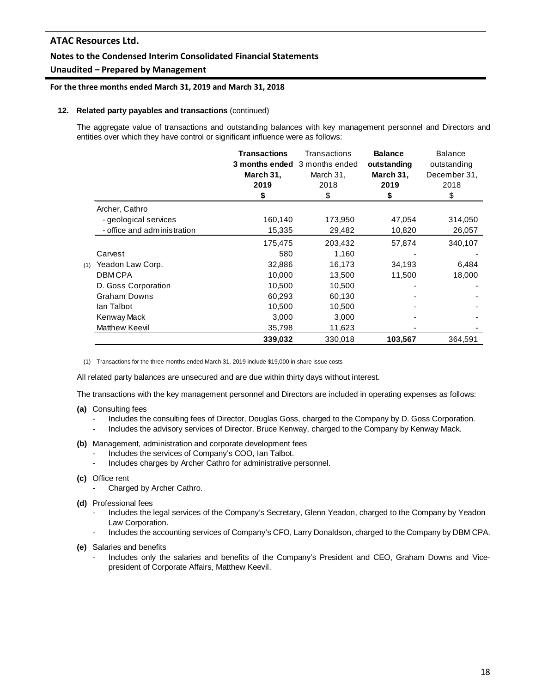# **Notes to the Condensed Interim Consolidated Financial Statements**

# **Unaudited – Prepared by Management**

#### **For the three months ended March 31, 2019 and March 31, 2018**

#### **12. Related party payables and transactions** (continued)

The aggregate value of transactions and outstanding balances with key management personnel and Directors and entities over which they have control or significant influence were as follows:

|     |                             | <b>Transactions</b> | Transactions<br>3 months ended 3 months ended | <b>Balance</b><br>outstanding | <b>Balance</b><br>outstanding |
|-----|-----------------------------|---------------------|-----------------------------------------------|-------------------------------|-------------------------------|
|     |                             | March 31,           | March 31,                                     | March 31,                     | December 31,                  |
|     |                             | 2019                | 2018                                          | 2019                          | 2018                          |
|     |                             | S                   | \$                                            | \$                            | \$                            |
|     | Archer, Cathro              |                     |                                               |                               |                               |
|     | - geological services       | 160,140             | 173,950                                       | 47,054                        | 314,050                       |
|     | - office and administration | 15,335              | 29,482                                        | 10,820                        | 26,057                        |
|     |                             | 175,475             | 203,432                                       | 57,874                        | 340,107                       |
|     | Carvest                     | 580                 | 1,160                                         |                               |                               |
| (1) | Yeadon Law Corp.            | 32,886              | 16,173                                        | 34,193                        | 6,484                         |
|     | <b>DBMCPA</b>               | 10,000              | 13,500                                        | 11,500                        | 18,000                        |
|     | D. Goss Corporation         | 10,500              | 10,500                                        |                               |                               |
|     | <b>Graham Downs</b>         | 60,293              | 60,130                                        |                               |                               |
|     | lan Talbot                  | 10,500              | 10,500                                        |                               |                               |
|     | Kenway Mack                 | 3,000               | 3,000                                         |                               |                               |
|     | Matthew Keevil              | 35,798              | 11,623                                        |                               |                               |
|     |                             | 339,032             | 330,018                                       | 103,567                       | 364,591                       |

(1) Transactions for the three months ended March 31, 2019 include \$19,000 in share issue costs

All related party balances are unsecured and are due within thirty days without interest.

The transactions with the key management personnel and Directors are included in operating expenses as follows:

- **(a)** Consulting fees
	- Includes the consulting fees of Director, Douglas Goss, charged to the Company by D. Goss Corporation.
	- Includes the advisory services of Director, Bruce Kenway, charged to the Company by Kenway Mack.

### **(b)** Management, administration and corporate development fees

- Includes the services of Company's COO, Ian Talbot.
- Includes charges by Archer Cathro for administrative personnel.

### **(c)** Office rent

- Charged by Archer Cathro.
- **(d)** Professional fees
	- Includes the legal services of the Company's Secretary, Glenn Yeadon, charged to the Company by Yeadon Law Corporation.
	- Includes the accounting services of Company's CFO, Larry Donaldson, charged to the Company by DBM CPA.

**(e)** Salaries and benefits

Includes only the salaries and benefits of the Company's President and CEO, Graham Downs and Vicepresident of Corporate Affairs, Matthew Keevil.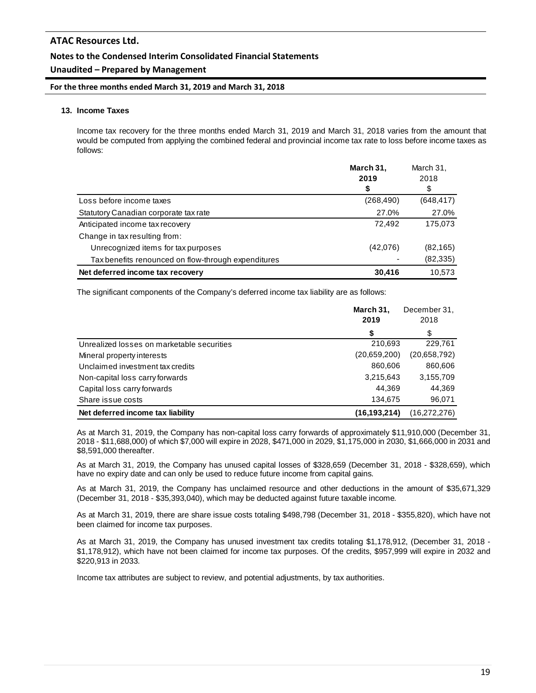# **Unaudited – Prepared by Management**

**For the three months ended March 31, 2019 and March 31, 2018**

#### **13. Income Taxes**

Income tax recovery for the three months ended March 31, 2019 and March 31, 2018 varies from the amount that would be computed from applying the combined federal and provincial income tax rate to loss before income taxes as follows:

|                                                     | March 31,  | March 31,  |
|-----------------------------------------------------|------------|------------|
|                                                     | 2019       | 2018       |
|                                                     | S          | \$         |
| Loss before income taxes                            | (268, 490) | (648, 417) |
| Statutory Canadian corporate tax rate               | 27.0%      | 27.0%      |
| Anticipated income tax recovery                     | 72.492     | 175,073    |
| Change in tax resulting from:                       |            |            |
| Unrecognized items for tax purposes                 | (42,076)   | (82, 165)  |
| Tax benefits renounced on flow-through expenditures |            | (82, 335)  |
| Net deferred income tax recovery                    | 30,416     | 10.573     |

The significant components of the Company's deferred income tax liability are as follows:

|                                            | March 31,<br>2019 | December 31,<br>2018 |
|--------------------------------------------|-------------------|----------------------|
|                                            | \$                | \$                   |
| Unrealized losses on marketable securities | 210,693           | 229,761              |
| Mineral property interests                 | (20.659, 200)     | (20,658,792)         |
| Unclaimed investment tax credits           | 860,606           | 860,606              |
| Non-capital loss carry forwards            | 3,215,643         | 3,155,709            |
| Capital loss carry forwards                | 44.369            | 44,369               |
| Share issue costs                          | 134,675           | 96,071               |
| Net deferred income tax liability          | (16, 193, 214)    | (16, 272, 276)       |

As at March 31, 2019, the Company has non-capital loss carry forwards of approximately \$11,910,000 (December 31, 2018 - \$11,688,000) of which \$7,000 will expire in 2028, \$471,000 in 2029, \$1,175,000 in 2030, \$1,666,000 in 2031 and \$8,591,000 thereafter.

As at March 31, 2019, the Company has unused capital losses of \$328,659 (December 31, 2018 - \$328,659), which have no expiry date and can only be used to reduce future income from capital gains.

As at March 31, 2019, the Company has unclaimed resource and other deductions in the amount of \$35,671,329 (December 31, 2018 - \$35,393,040), which may be deducted against future taxable income.

As at March 31, 2019, there are share issue costs totaling \$498,798 (December 31, 2018 - \$355,820), which have not been claimed for income tax purposes.

As at March 31, 2019, the Company has unused investment tax credits totaling \$1,178,912, (December 31, 2018 - \$1,178,912), which have not been claimed for income tax purposes. Of the credits, \$957,999 will expire in 2032 and \$220,913 in 2033.

Income tax attributes are subject to review, and potential adjustments, by tax authorities.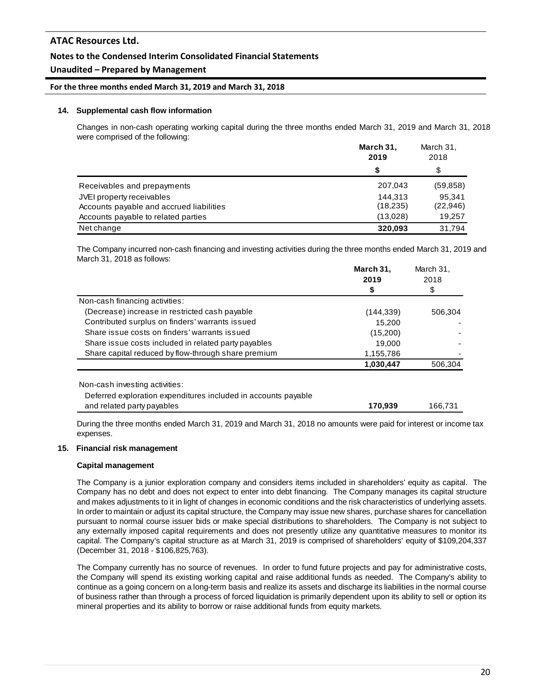# **Notes to the Condensed Interim Consolidated Financial Statements**

# **Unaudited – Prepared by Management**

#### **For the three months ended March 31, 2019 and March 31, 2018**

#### **14. Supplemental cash flow information**

Changes in non-cash operating working capital during the three months ended March 31, 2019 and March 31, 2018 were comprised of the following:

|                                          | March 31,<br>2019 |           |
|------------------------------------------|-------------------|-----------|
|                                          | \$                | \$        |
| Receivables and prepayments              | 207,043           | (59, 858) |
| JVEI property receivables                | 144.313           | 95.341    |
| Accounts payable and accrued liabilities | (18, 235)         | (22, 946) |
| Accounts payable to related parties      | (13,028)          | 19.257    |
| Net change                               | 320.093           | 31.794    |

The Company incurred non-cash financing and investing activities during the three months ended March 31, 2019 and March 31, 2018 as follows:

|                                                                | March 31, | March 31, |
|----------------------------------------------------------------|-----------|-----------|
|                                                                | 2019      | 2018      |
|                                                                | \$        | \$        |
| Non-cash financing activities:                                 |           |           |
| (Decrease) increase in restricted cash payable                 | (144,339) | 506,304   |
| Contributed surplus on finders' warrants issued                | 15.200    |           |
| Share issue costs on finders' warrants issued                  | (15,200)  |           |
| Share issue costs included in related party payables           | 19,000    |           |
| Share capital reduced by flow-through share premium            | 1,155,786 |           |
|                                                                | 1,030,447 | 506.304   |
|                                                                |           |           |
| Non-cash investing activities:                                 |           |           |
| Deferred exploration expenditures included in accounts payable |           |           |

and related party payables **170,939** 166,731

During the three months ended March 31, 2019 and March 31, 2018 no amounts were paid for interest or income tax expenses.

#### **15. Financial risk management**

### **Capital management**

The Company is a junior exploration company and considers items included in shareholders' equity as capital. The Company has no debt and does not expect to enter into debt financing. The Company manages its capital structure and makes adjustments to it in light of changes in economic conditions and the risk characteristics of underlying assets. In order to maintain or adjust its capital structure, the Company may issue new shares, purchase shares for cancellation pursuant to normal course issuer bids or make special distributions to shareholders. The Company is not subject to any externally imposed capital requirements and does not presently utilize any quantitative measures to monitor its capital. The Company's capital structure as at March 31, 2019 is comprised of shareholders' equity of \$109,204,337 (December 31, 2018 - \$106,825,763).

The Company currently has no source of revenues. In order to fund future projects and pay for administrative costs, the Company will spend its existing working capital and raise additional funds as needed. The Company's ability to continue as a going concern on a long-term basis and realize its assets and discharge its liabilities in the normal course of business rather than through a process of forced liquidation is primarily dependent upon its ability to sell or option its mineral properties and its ability to borrow or raise additional funds from equity markets.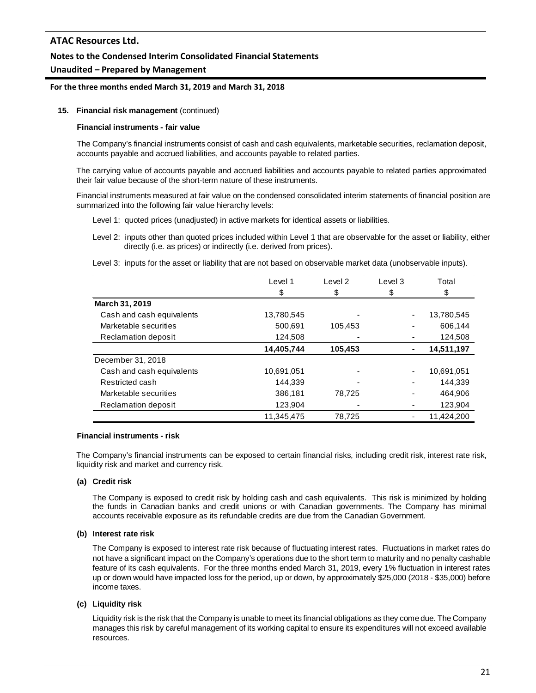## **Notes to the Condensed Interim Consolidated Financial Statements**

## **Unaudited – Prepared by Management**

#### **For the three months ended March 31, 2019 and March 31, 2018**

#### **15. Financial risk management** (continued)

#### **Financial instruments - fair value**

The Company's financial instruments consist of cash and cash equivalents, marketable securities, reclamation deposit, accounts payable and accrued liabilities, and accounts payable to related parties.

The carrying value of accounts payable and accrued liabilities and accounts payable to related parties approximated their fair value because of the short-term nature of these instruments.

Financial instruments measured at fair value on the condensed consolidated interim statements of financial position are summarized into the following fair value hierarchy levels:

Level 1: quoted prices (unadjusted) in active markets for identical assets or liabilities.

Level 2: inputs other than quoted prices included within Level 1 that are observable for the asset or liability, either directly (i.e. as prices) or indirectly (i.e. derived from prices).

Level 3: inputs for the asset or liability that are not based on observable market data (unobservable inputs).

|                           | Level 1    | Level 2 | Level 3 | Total      |
|---------------------------|------------|---------|---------|------------|
|                           | \$         | \$      | \$      | \$         |
| March 31, 2019            |            |         |         |            |
| Cash and cash equivalents | 13,780,545 |         | ٠       | 13,780,545 |
| Marketable securities     | 500,691    | 105,453 |         | 606.144    |
| Reclamation deposit       | 124,508    |         |         | 124,508    |
|                           | 14,405,744 | 105,453 | ۰       | 14,511,197 |
| December 31, 2018         |            |         |         |            |
| Cash and cash equivalents | 10,691,051 |         | ٠       | 10,691,051 |
| Restricted cash           | 144,339    |         |         | 144,339    |
| Marketable securities     | 386,181    | 78,725  |         | 464,906    |
| Reclamation deposit       | 123,904    |         |         | 123,904    |
|                           | 11,345,475 | 78,725  |         | 11,424,200 |

#### **Financial instruments - risk**

The Company's financial instruments can be exposed to certain financial risks, including credit risk, interest rate risk, liquidity risk and market and currency risk.

### **(a) Credit risk**

The Company is exposed to credit risk by holding cash and cash equivalents. This risk is minimized by holding the funds in Canadian banks and credit unions or with Canadian governments. The Company has minimal accounts receivable exposure as its refundable credits are due from the Canadian Government.

#### **(b) Interest rate risk**

The Company is exposed to interest rate risk because of fluctuating interest rates. Fluctuations in market rates do not have a significant impact on the Company's operations due to the short term to maturity and no penalty cashable feature of its cash equivalents. For the three months ended March 31, 2019, every 1% fluctuation in interest rates up or down would have impacted loss for the period, up or down, by approximately \$25,000 (2018 - \$35,000) before income taxes.

### **(c) Liquidity risk**

Liquidity risk is the risk that the Company is unable to meet its financial obligations as they come due. The Company manages this risk by careful management of its working capital to ensure its expenditures will not exceed available resources.